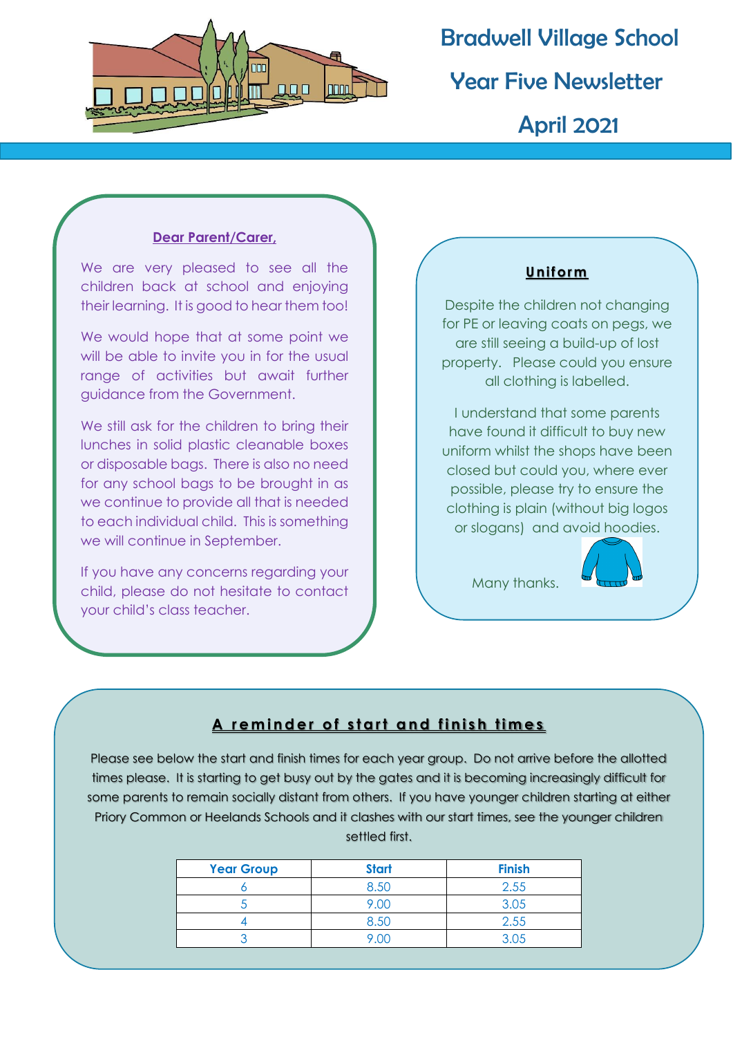

# Bradwell Village School Year Five Newsletter April 2021

#### **Dear Parent/Carer,**

We are very pleased to see all the children back at school and enjoying their learning. It is good to hear them too!

We would hope that at some point we will be able to invite you in for the usual range of activities but await further guidance from the Government.

We still ask for the children to bring their lunches in solid plastic cleanable boxes or disposable bags. There is also no need for any school bags to be brought in as we continue to provide all that is needed to each individual child. This is something we will continue in September.

If you have any concerns regarding your child, please do not hesitate to contact your child's class teacher.

### **U nif orm**

Despite the children not changing for PE or leaving coats on pegs, we are still seeing a build-up of lost property. Please could you ensure all clothing is labelled.

I understand that some parents have found it difficult to buy new uniform whilst the shops have been closed but could you, where ever possible, please try to ensure the clothing is plain (without big logos or slogans) and avoid hoodies.



Many thanks.

## A reminder of start and finish times

Please see below the start and finish times for each year group. Do not arrive before the allotted times please. It is starting to get busy out by the gates and it is becoming increasingly difficult for some parents to remain socially distant from others. If you have younger children starting at either Priory Common or Heelands Schools and it clashes with our start times, see the younger children settled first.

| <b>Year Group</b> | <b>Start</b> | <b>Finish</b> |
|-------------------|--------------|---------------|
|                   | 8.50         | 2.55          |
|                   | 9.00         | 3.05          |
|                   | 8.50         | 2.55          |
|                   | וזוי         | 3.05          |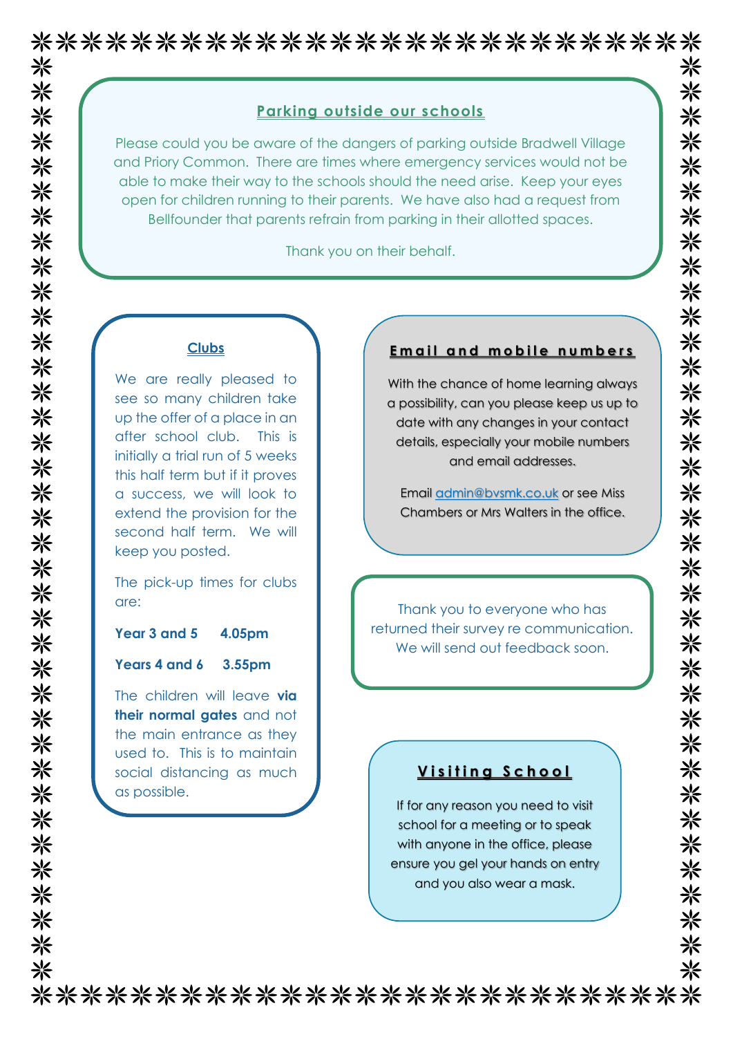#### **Parking outside our schools**

Please could you be aware of the dangers of parking outside Bradwell Village and Priory Common. There are times where emergency services would not be able to make their way to the schools should the need arise. Keep your eyes open for children running to their parents. We have also had a request from Bellfounder that parents refrain from parking in their allotted spaces.

Thank you on their behalf.

#### **Clubs**

We are really pleased to see so many children take up the offer of a place in an after school club. This is initially a trial run of 5 weeks this half term but if it proves a success, we will look to extend the provision for the second half term. We will keep you posted.

The pick-up times for clubs are:

#### **Year 3 and 5 4.05pm**

#### **Years 4 and 6 3.55pm**

The children will leave **via their normal gates** and not the main entrance as they used to. This is to maintain social distancing as much as possible.

#### **Email and mobile numbers**

米

米 米 ※

米

☀ ☀ 米

米

米

☀

米米米

☀

☀

☀ ☀ 米

☀

米

米

米米米

米

米

米

⋇

米 米

米

⋇

☀

米

☀ 米

With the chance of home learning always a possibility, can you please keep us up to date with any changes in your contact details, especially your mobile numbers and email addresses.

Email [admin@bvsmk.co.uk](mailto:admin@bvsmk.co.uk) or see Miss Chambers or Mrs Walters in the office.

Thank you to everyone who has returned their survey re communication. We will send out feedback soon.

#### **V i s i t i n g S c h o o l**

If for any reason you need to visit school for a meeting or to speak with anyone in the office, please ensure you gel your hands on entry and you also wear a mask.

Many thanks.

\*\*\*\*\*\*\*\*\*\*\*\*\*\*\*\*\*\*\*\*\*\*\*\*\*\*\*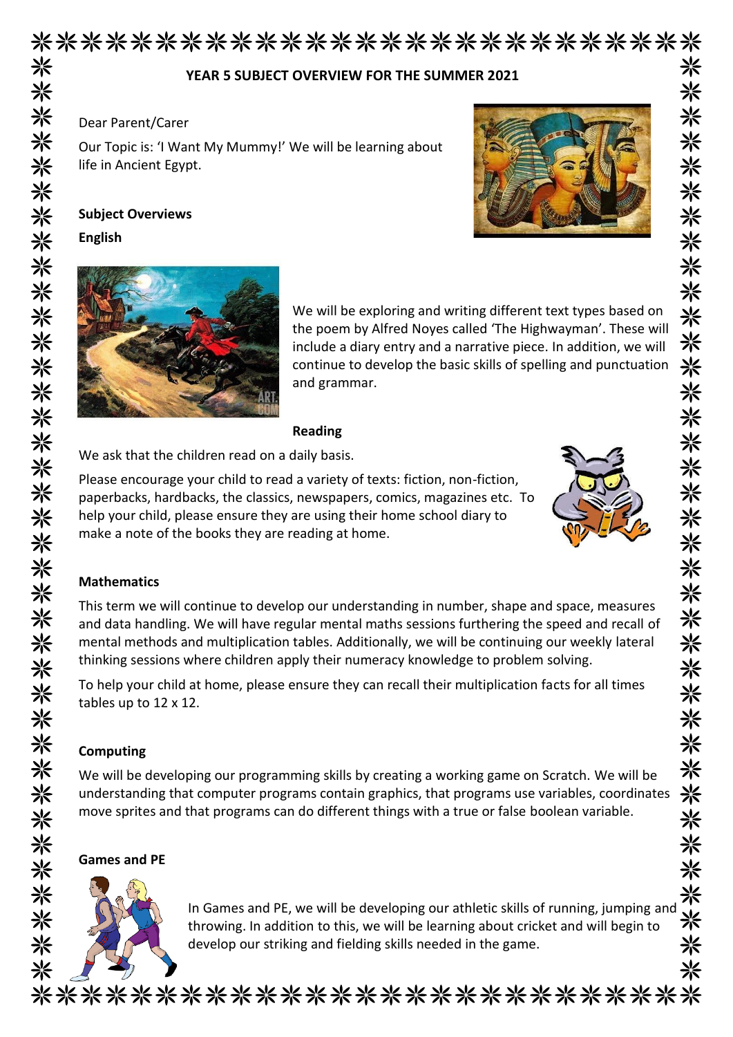| YEAR 5 SUBJECT OVERVIEW FOR THE SUMMER 2021                                                                                                                                                                                                                                                                                                                                                                                                                                                                                                                          |
|----------------------------------------------------------------------------------------------------------------------------------------------------------------------------------------------------------------------------------------------------------------------------------------------------------------------------------------------------------------------------------------------------------------------------------------------------------------------------------------------------------------------------------------------------------------------|
| Dear Parent/Carer                                                                                                                                                                                                                                                                                                                                                                                                                                                                                                                                                    |
| Our Topic is: 'I Want My Mummy!' We will be learning about<br>life in Ancient Egypt.                                                                                                                                                                                                                                                                                                                                                                                                                                                                                 |
| <b>Subject Overviews</b>                                                                                                                                                                                                                                                                                                                                                                                                                                                                                                                                             |
| <b>English</b>                                                                                                                                                                                                                                                                                                                                                                                                                                                                                                                                                       |
| We will be exploring and writing different text types based on<br>the poem by Alfred Noyes called 'The Highwayman'. These will<br>include a diary entry and a narrative piece. In addition, we will<br>continue to develop the basic skills of spelling and punctuation<br>and grammar.                                                                                                                                                                                                                                                                              |
| <b>Reading</b>                                                                                                                                                                                                                                                                                                                                                                                                                                                                                                                                                       |
| We ask that the children read on a daily basis.                                                                                                                                                                                                                                                                                                                                                                                                                                                                                                                      |
| paperbacks, hardbacks, the classics, newspapers, comics, magazines etc. To<br>help your child, please ensure they are using their home school diary to<br>make a note of the books they are reading at home.                                                                                                                                                                                                                                                                                                                                                         |
|                                                                                                                                                                                                                                                                                                                                                                                                                                                                                                                                                                      |
|                                                                                                                                                                                                                                                                                                                                                                                                                                                                                                                                                                      |
|                                                                                                                                                                                                                                                                                                                                                                                                                                                                                                                                                                      |
| <b>Mathematics</b><br>This term we will continue to develop our understanding in number, shape and space, measures<br>and data handling. We will have regular mental maths sessions furthering the speed and recall of<br>mental methods and multiplication tables. Additionally, we will be continuing our weekly lateral<br>thinking sessions where children apply their numeracy knowledge to problem solving.<br>To help your child at home, please ensure they can recall their multiplication facts for all times<br>tables up to 12 x 12.<br><b>Computing</b> |
|                                                                                                                                                                                                                                                                                                                                                                                                                                                                                                                                                                      |
| We will be developing our programming skills by creating a working game on Scratch. We will be<br>understanding that computer programs contain graphics, that programs use variables, coordinates<br>move sprites and that programs can do different things with a true or false boolean variable.<br><b>Games and PE</b>                                                                                                                                                                                                                                            |